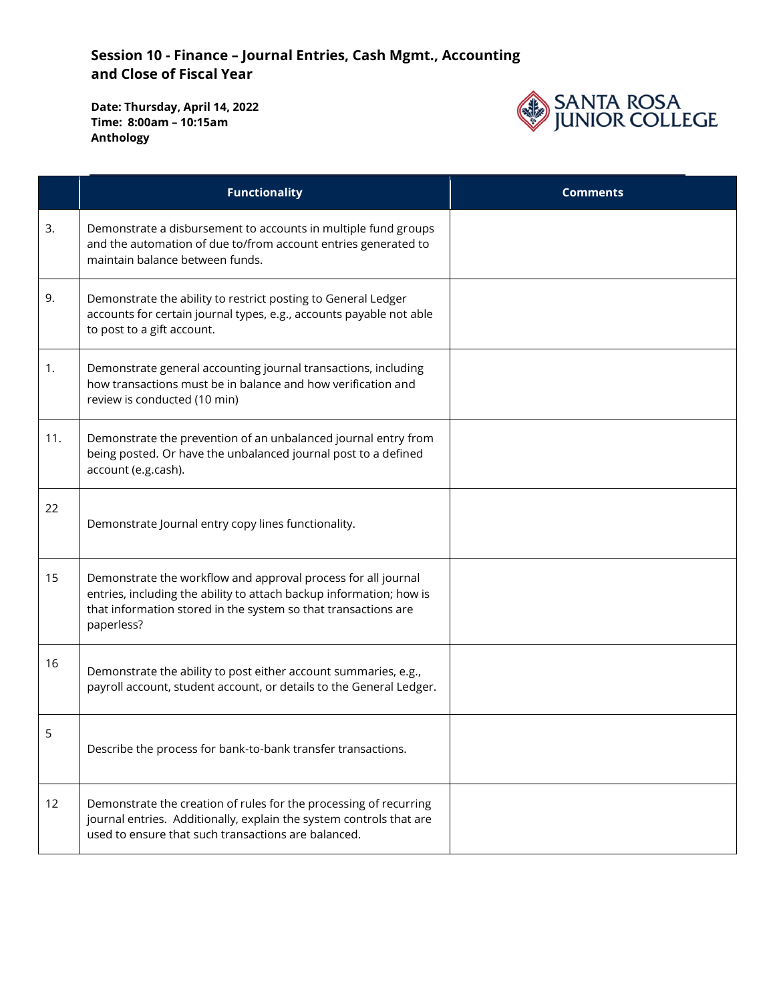

|     | <b>Functionality</b>                                                                                                                                                                                                 | <b>Comments</b> |
|-----|----------------------------------------------------------------------------------------------------------------------------------------------------------------------------------------------------------------------|-----------------|
| 3.  | Demonstrate a disbursement to accounts in multiple fund groups<br>and the automation of due to/from account entries generated to<br>maintain balance between funds.                                                  |                 |
| 9.  | Demonstrate the ability to restrict posting to General Ledger<br>accounts for certain journal types, e.g., accounts payable not able<br>to post to a gift account.                                                   |                 |
| 1.  | Demonstrate general accounting journal transactions, including<br>how transactions must be in balance and how verification and<br>review is conducted (10 min)                                                       |                 |
| 11. | Demonstrate the prevention of an unbalanced journal entry from<br>being posted. Or have the unbalanced journal post to a defined<br>account (e.g.cash).                                                              |                 |
| 22  | Demonstrate Journal entry copy lines functionality.                                                                                                                                                                  |                 |
| 15  | Demonstrate the workflow and approval process for all journal<br>entries, including the ability to attach backup information; how is<br>that information stored in the system so that transactions are<br>paperless? |                 |
| 16  | Demonstrate the ability to post either account summaries, e.g.,<br>payroll account, student account, or details to the General Ledger.                                                                               |                 |
| 5   | Describe the process for bank-to-bank transfer transactions.                                                                                                                                                         |                 |
| 12  | Demonstrate the creation of rules for the processing of recurring<br>journal entries. Additionally, explain the system controls that are<br>used to ensure that such transactions are balanced.                      |                 |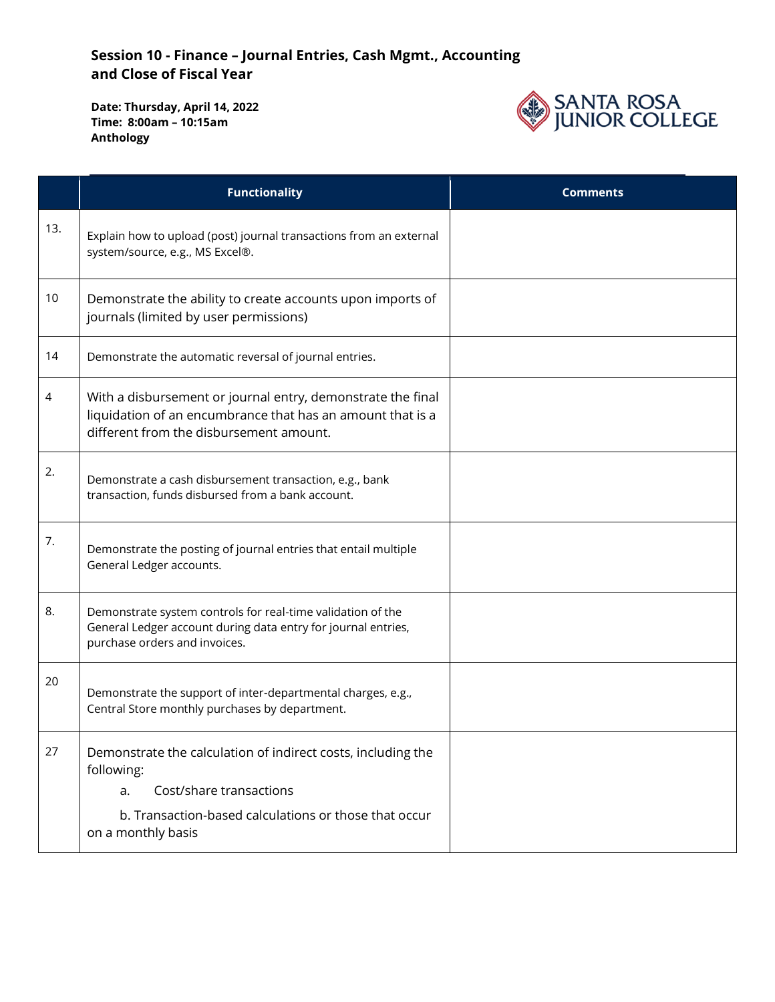

|     | <b>Functionality</b>                                                                                                                                                                       | <b>Comments</b> |
|-----|--------------------------------------------------------------------------------------------------------------------------------------------------------------------------------------------|-----------------|
| 13. | Explain how to upload (post) journal transactions from an external<br>system/source, e.g., MS Excel®.                                                                                      |                 |
| 10  | Demonstrate the ability to create accounts upon imports of<br>journals (limited by user permissions)                                                                                       |                 |
| 14  | Demonstrate the automatic reversal of journal entries.                                                                                                                                     |                 |
| 4   | With a disbursement or journal entry, demonstrate the final<br>liquidation of an encumbrance that has an amount that is a<br>different from the disbursement amount.                       |                 |
| 2.  | Demonstrate a cash disbursement transaction, e.g., bank<br>transaction, funds disbursed from a bank account.                                                                               |                 |
| 7.  | Demonstrate the posting of journal entries that entail multiple<br>General Ledger accounts.                                                                                                |                 |
| 8.  | Demonstrate system controls for real-time validation of the<br>General Ledger account during data entry for journal entries,<br>purchase orders and invoices.                              |                 |
| 20  | Demonstrate the support of inter-departmental charges, e.g.,<br>Central Store monthly purchases by department.                                                                             |                 |
| 27  | Demonstrate the calculation of indirect costs, including the<br>following:<br>Cost/share transactions<br>a.<br>b. Transaction-based calculations or those that occur<br>on a monthly basis |                 |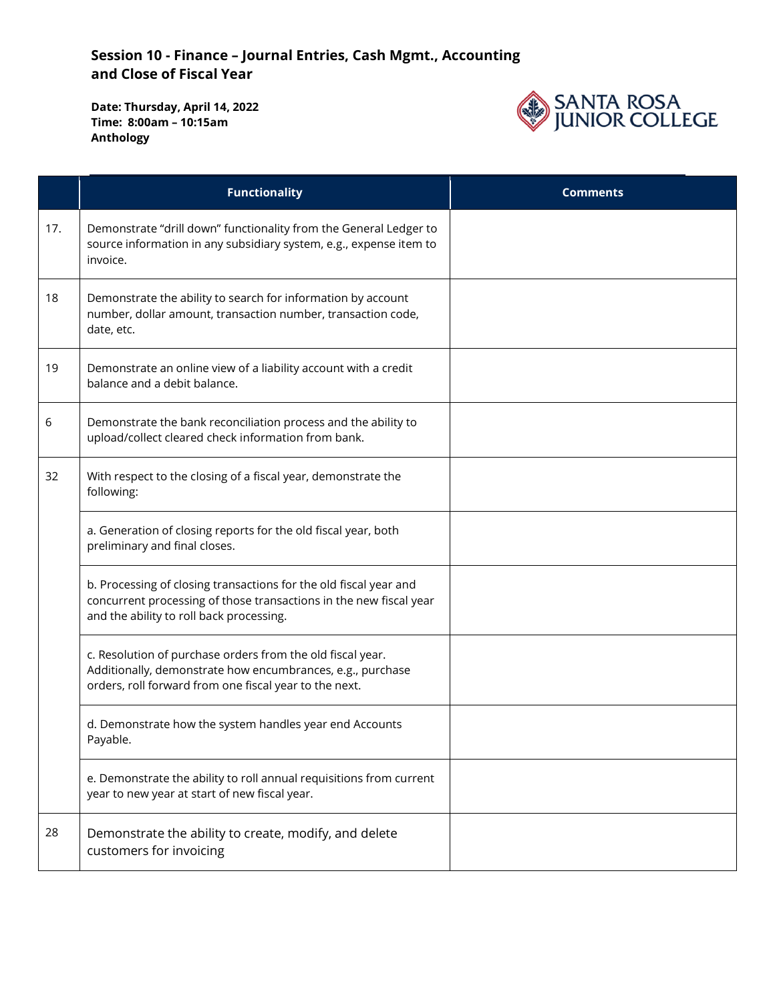

|     | <b>Functionality</b>                                                                                                                                                                | <b>Comments</b> |
|-----|-------------------------------------------------------------------------------------------------------------------------------------------------------------------------------------|-----------------|
| 17. | Demonstrate "drill down" functionality from the General Ledger to<br>source information in any subsidiary system, e.g., expense item to<br>invoice.                                 |                 |
| 18  | Demonstrate the ability to search for information by account<br>number, dollar amount, transaction number, transaction code,<br>date, etc.                                          |                 |
| 19  | Demonstrate an online view of a liability account with a credit<br>balance and a debit balance.                                                                                     |                 |
| 6   | Demonstrate the bank reconciliation process and the ability to<br>upload/collect cleared check information from bank.                                                               |                 |
| 32  | With respect to the closing of a fiscal year, demonstrate the<br>following:                                                                                                         |                 |
|     | a. Generation of closing reports for the old fiscal year, both<br>preliminary and final closes.                                                                                     |                 |
|     | b. Processing of closing transactions for the old fiscal year and<br>concurrent processing of those transactions in the new fiscal year<br>and the ability to roll back processing. |                 |
|     | c. Resolution of purchase orders from the old fiscal year.<br>Additionally, demonstrate how encumbrances, e.g., purchase<br>orders, roll forward from one fiscal year to the next.  |                 |
|     | d. Demonstrate how the system handles year end Accounts<br>Payable.                                                                                                                 |                 |
|     | e. Demonstrate the ability to roll annual requisitions from current<br>year to new year at start of new fiscal year.                                                                |                 |
| 28  | Demonstrate the ability to create, modify, and delete<br>customers for invoicing                                                                                                    |                 |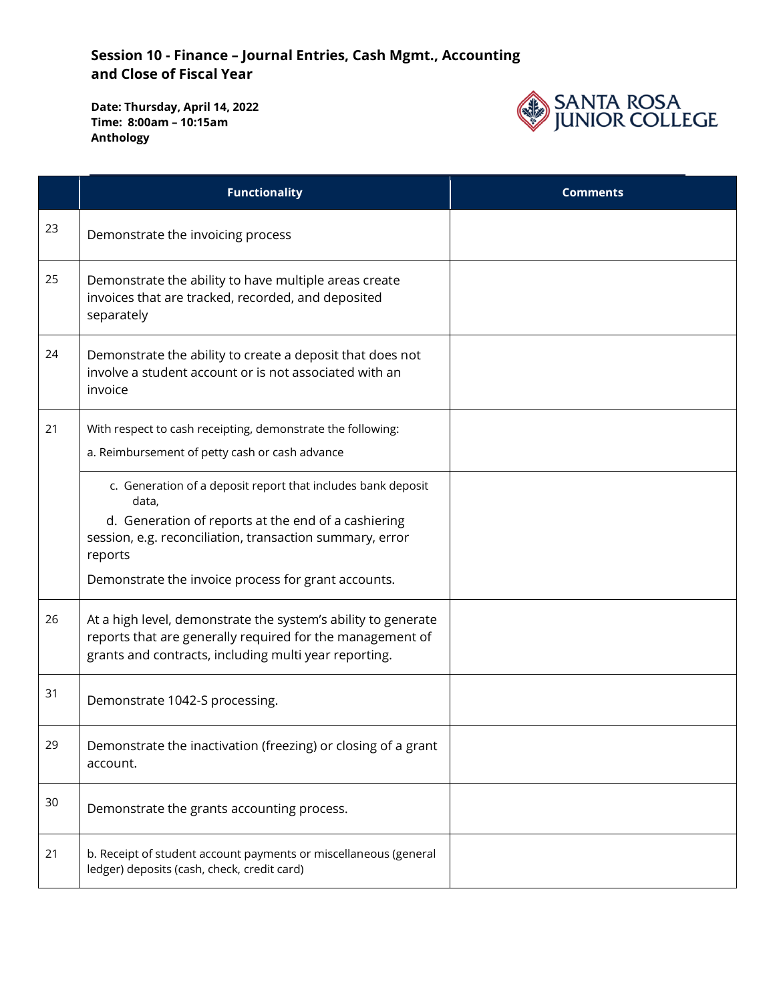

|    | <b>Functionality</b>                                                                                                                                                                                                                                       | <b>Comments</b> |
|----|------------------------------------------------------------------------------------------------------------------------------------------------------------------------------------------------------------------------------------------------------------|-----------------|
| 23 | Demonstrate the invoicing process                                                                                                                                                                                                                          |                 |
| 25 | Demonstrate the ability to have multiple areas create<br>invoices that are tracked, recorded, and deposited<br>separately                                                                                                                                  |                 |
| 24 | Demonstrate the ability to create a deposit that does not<br>involve a student account or is not associated with an<br>invoice                                                                                                                             |                 |
| 21 | With respect to cash receipting, demonstrate the following:<br>a. Reimbursement of petty cash or cash advance                                                                                                                                              |                 |
|    | c. Generation of a deposit report that includes bank deposit<br>data,<br>d. Generation of reports at the end of a cashiering<br>session, e.g. reconciliation, transaction summary, error<br>reports<br>Demonstrate the invoice process for grant accounts. |                 |
| 26 | At a high level, demonstrate the system's ability to generate<br>reports that are generally required for the management of<br>grants and contracts, including multi year reporting.                                                                        |                 |
| 31 | Demonstrate 1042-S processing.                                                                                                                                                                                                                             |                 |
| 29 | Demonstrate the inactivation (freezing) or closing of a grant<br>account.                                                                                                                                                                                  |                 |
| 30 | Demonstrate the grants accounting process.                                                                                                                                                                                                                 |                 |
| 21 | b. Receipt of student account payments or miscellaneous (general<br>ledger) deposits (cash, check, credit card)                                                                                                                                            |                 |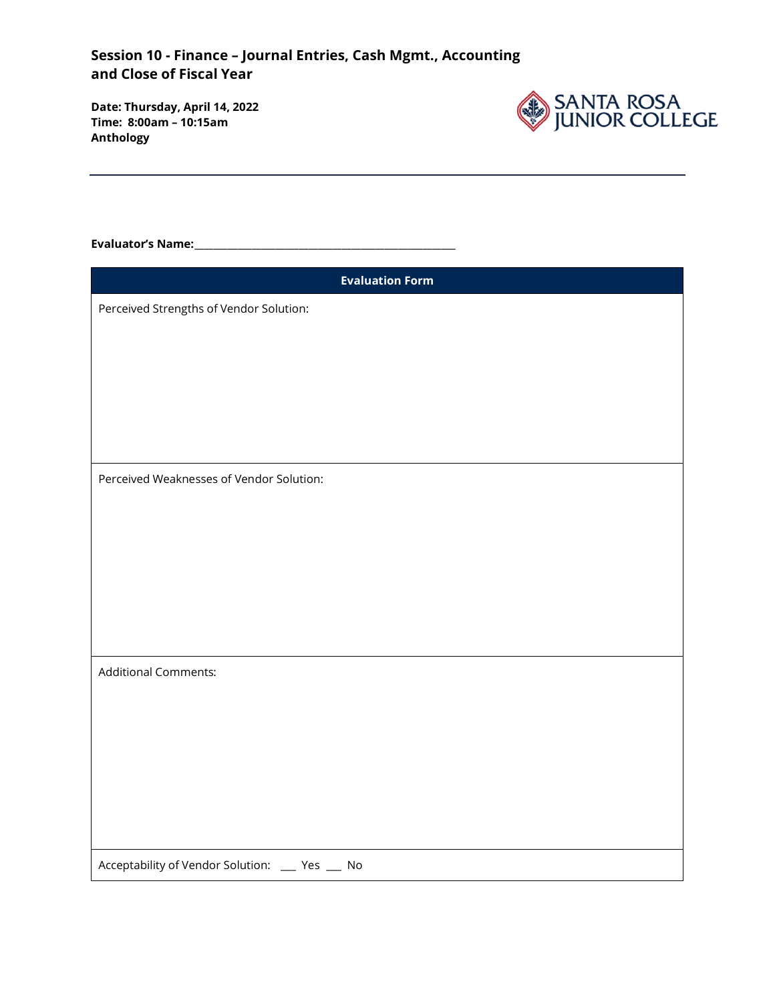**Date: Thursday, April 14, 2022 Time: 8:00am – 10:15am Anthology**



#### **Evaluator's Name:\_\_\_\_\_\_\_\_\_\_\_\_\_\_\_\_\_\_\_\_\_\_\_\_\_\_\_\_\_\_\_\_\_\_\_\_\_\_\_\_\_\_\_\_\_\_\_\_\_\_\_\_\_\_\_**

| <b>Evaluation Form</b>                         |
|------------------------------------------------|
| Perceived Strengths of Vendor Solution:        |
|                                                |
|                                                |
|                                                |
|                                                |
|                                                |
|                                                |
| Perceived Weaknesses of Vendor Solution:       |
|                                                |
|                                                |
|                                                |
|                                                |
|                                                |
|                                                |
| <b>Additional Comments:</b>                    |
|                                                |
|                                                |
|                                                |
|                                                |
|                                                |
|                                                |
|                                                |
| Acceptability of Vendor Solution: __ Yes __ No |